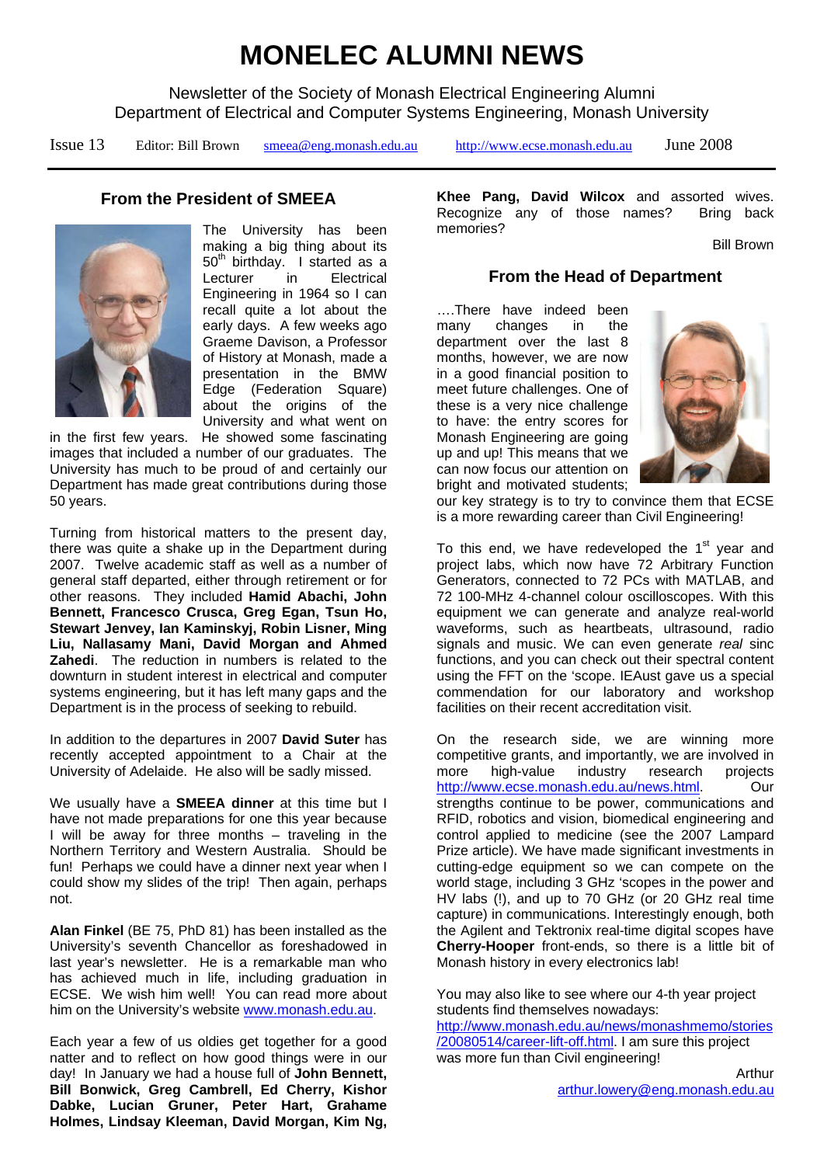# **MONELEC ALUMNI NEWS**

Newsletter of the Society of Monash Electrical Engineering Alumni Department of Electrical and Computer Systems Engineering, Monash University

Issue 13 Editor: Bill Brown [smeea@eng.monash.edu.au](mailto:bill.brown@eng.monash.edu.au) [http://www.ecse.monash.edu.au](http://www.ecse.monash.edu.au/) June 2008

# **From the President of SMEEA**



The University has been making a big thing about its 50<sup>th</sup> birthday. I started as a Lecturer in Electrical Engineering in 1964 so I can recall quite a lot about the early days. A few weeks ago Graeme Davison, a Professor of History at Monash, made a presentation in the BMW Edge (Federation Square) about the origins of the University and what went on

in the first few years. He showed some fascinating images that included a number of our graduates. The University has much to be proud of and certainly our Department has made great contributions during those 50 years.

Turning from historical matters to the present day, there was quite a shake up in the Department during 2007. Twelve academic staff as well as a number of general staff departed, either through retirement or for other reasons. They included **Hamid Abachi, John Bennett, Francesco Crusca, Greg Egan, Tsun Ho, Stewart Jenvey, Ian Kaminskyj, Robin Lisner, Ming Liu, Nallasamy Mani, David Morgan and Ahmed Zahedi**. The reduction in numbers is related to the downturn in student interest in electrical and computer systems engineering, but it has left many gaps and the Department is in the process of seeking to rebuild.

In addition to the departures in 2007 **David Suter** has recently accepted appointment to a Chair at the University of Adelaide. He also will be sadly missed.

We usually have a **SMEEA dinner** at this time but I have not made preparations for one this year because I will be away for three months – traveling in the Northern Territory and Western Australia. Should be fun! Perhaps we could have a dinner next year when I could show my slides of the trip! Then again, perhaps not.

**Alan Finkel** (BE 75, PhD 81) has been installed as the University's seventh Chancellor as foreshadowed in last year's newsletter. He is a remarkable man who has achieved much in life, including graduation in ECSE. We wish him well! You can read more about him on the University's website [www.monash.edu.au.](http://www.monash.edu.au/)

Each year a few of us oldies get together for a good natter and to reflect on how good things were in our day! In January we had a house full of **John Bennett, Bill Bonwick, Greg Cambrell, Ed Cherry, Kishor Dabke, Lucian Gruner, Peter Hart, Grahame Holmes, Lindsay Kleeman, David Morgan, Kim Ng,** 

**Khee Pang, David Wilcox** and assorted wives. Recognize any of those names? Bring back memories?

Bill Brown

## **From the Head of Department**

….There have indeed been many changes in the department over the last 8 months, however, we are now in a good financial position to meet future challenges. One of these is a very nice challenge to have: the entry scores for Monash Engineering are going up and up! This means that we can now focus our attention on bright and motivated students;



our key strategy is to try to convince them that ECSE is a more rewarding career than Civil Engineering!

To this end, we have redeveloped the  $1<sup>st</sup>$  year and project labs, which now have 72 Arbitrary Function Generators, connected to 72 PCs with MATLAB, and 72 100-MHz 4-channel colour oscilloscopes. With this equipment we can generate and analyze real-world waveforms, such as heartbeats, ultrasound, radio signals and music. We can even generate *real* sinc functions, and you can check out their spectral content using the FFT on the 'scope. IEAust gave us a special commendation for our laboratory and workshop facilities on their recent accreditation visit.

On the research side, we are winning more competitive grants, and importantly, we are involved in more high-value industry research projects [http://www.ecse.monash.edu.au/news.html.](http://www.ecse.monash.edu.au/news.html) Our strengths continue to be power, communications and RFID, robotics and vision, biomedical engineering and control applied to medicine (see the 2007 Lampard Prize article). We have made significant investments in cutting-edge equipment so we can compete on the world stage, including 3 GHz 'scopes in the power and HV labs (!), and up to 70 GHz (or 20 GHz real time capture) in communications. Interestingly enough, both the Agilent and Tektronix real-time digital scopes have **Cherry-Hooper** front-ends, so there is a little bit of Monash history in every electronics lab!

You may also like to see where our 4-th year project students find themselves nowadays:

[http://www.monash.edu.au/news/monashmemo/stories](http://www.monash.edu.au/news/monashmemo/stories/20080514/career-lift-off.html) [/20080514/career-lift-off.html.](http://www.monash.edu.au/news/monashmemo/stories/20080514/career-lift-off.html) I am sure this project was more fun than Civil engineering!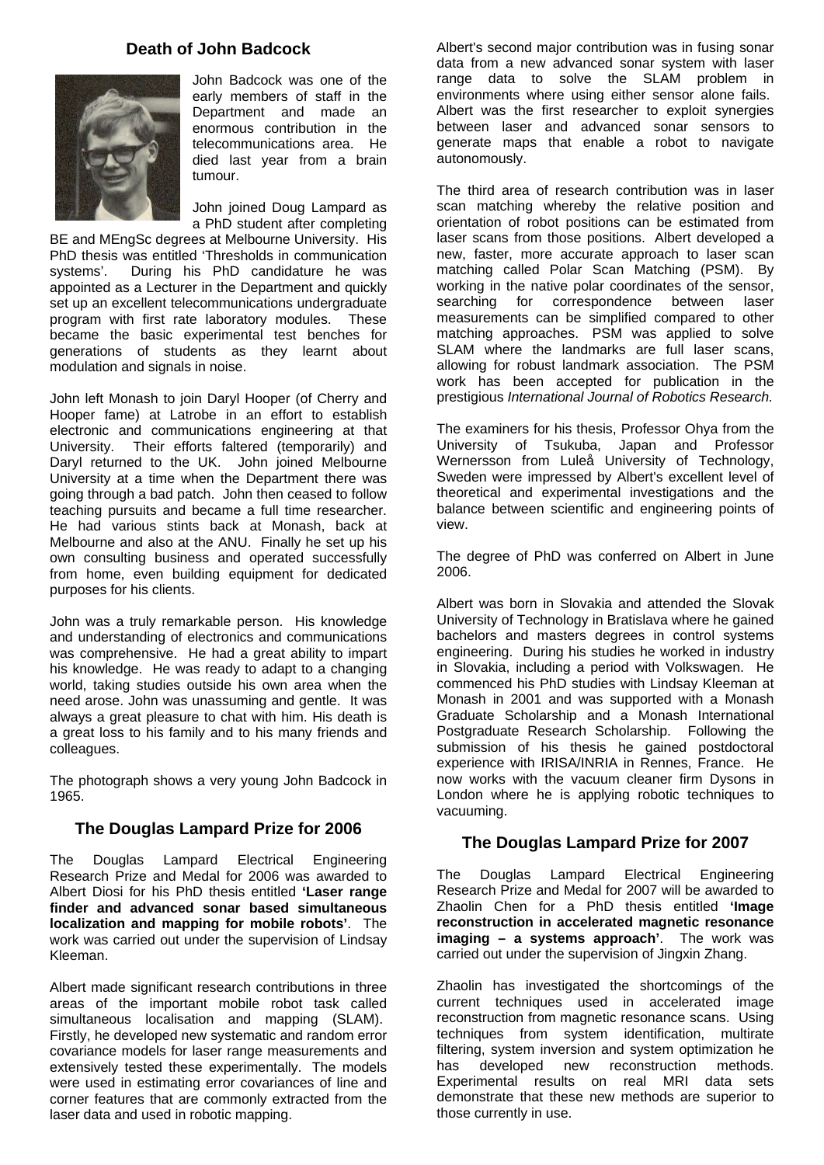## **Death of John Badcock**



John Badcock was one of the early members of staff in the Department and made an enormous contribution in the telecommunications area. He died last year from a brain tumour.

John joined Doug Lampard as a PhD student after completing

BE and MEngSc degrees at Melbourne University. His PhD thesis was entitled 'Thresholds in communication systems'. During his PhD candidature he was appointed as a Lecturer in the Department and quickly set up an excellent telecommunications undergraduate program with first rate laboratory modules. These became the basic experimental test benches for generations of students as they learnt about modulation and signals in noise.

John left Monash to join Daryl Hooper (of Cherry and Hooper fame) at Latrobe in an effort to establish electronic and communications engineering at that University. Their efforts faltered (temporarily) and Daryl returned to the UK. John joined Melbourne University at a time when the Department there was going through a bad patch. John then ceased to follow teaching pursuits and became a full time researcher. He had various stints back at Monash, back at Melbourne and also at the ANU. Finally he set up his own consulting business and operated successfully from home, even building equipment for dedicated purposes for his clients.

John was a truly remarkable person. His knowledge and understanding of electronics and communications was comprehensive. He had a great ability to impart his knowledge. He was ready to adapt to a changing world, taking studies outside his own area when the need arose. John was unassuming and gentle. It was always a great pleasure to chat with him. His death is a great loss to his family and to his many friends and colleagues.

The photograph shows a very young John Badcock in 1965.

#### **The Douglas Lampard Prize for 2006**

The Douglas Lampard Electrical Engineering Research Prize and Medal for 2006 was awarded to Albert Diosi for his PhD thesis entitled **'Laser range finder and advanced sonar based simultaneous localization and mapping for mobile robots'**. The work was carried out under the supervision of Lindsay Kleeman.

Albert made significant research contributions in three areas of the important mobile robot task called simultaneous localisation and mapping (SLAM). Firstly, he developed new systematic and random error covariance models for laser range measurements and extensively tested these experimentally. The models were used in estimating error covariances of line and corner features that are commonly extracted from the laser data and used in robotic mapping.

Albert's second major contribution was in fusing sonar data from a new advanced sonar system with laser range data to solve the SLAM problem in environments where using either sensor alone fails. Albert was the first researcher to exploit synergies between laser and advanced sonar sensors to generate maps that enable a robot to navigate autonomously.

The third area of research contribution was in laser scan matching whereby the relative position and orientation of robot positions can be estimated from laser scans from those positions. Albert developed a new, faster, more accurate approach to laser scan matching called Polar Scan Matching (PSM). By working in the native polar coordinates of the sensor, searching for correspondence between laser measurements can be simplified compared to other matching approaches. PSM was applied to solve SLAM where the landmarks are full laser scans, allowing for robust landmark association. The PSM work has been accepted for publication in the prestigious *International Journal of Robotics Research.* 

The examiners for his thesis, Professor Ohya from the University of Tsukuba, Japan and Professor Wernersson from Luleå University of Technology, Sweden were impressed by Albert's excellent level of theoretical and experimental investigations and the balance between scientific and engineering points of view.

The degree of PhD was conferred on Albert in June 2006.

Albert was born in Slovakia and attended the Slovak University of Technology in Bratislava where he gained bachelors and masters degrees in control systems engineering. During his studies he worked in industry in Slovakia, including a period with Volkswagen. He commenced his PhD studies with Lindsay Kleeman at Monash in 2001 and was supported with a Monash Graduate Scholarship and a Monash International Postgraduate Research Scholarship. Following the submission of his thesis he gained postdoctoral experience with IRISA/INRIA in Rennes, France. He now works with the vacuum cleaner firm Dysons in London where he is applying robotic techniques to vacuuming.

#### **The Douglas Lampard Prize for 2007**

The Douglas Lampard Electrical Engineering Research Prize and Medal for 2007 will be awarded to Zhaolin Chen for a PhD thesis entitled **'Image reconstruction in accelerated magnetic resonance imaging – a systems approach'**. The work was carried out under the supervision of Jingxin Zhang.

Zhaolin has investigated the shortcomings of the current techniques used in accelerated image reconstruction from magnetic resonance scans. Using techniques from system identification, multirate filtering, system inversion and system optimization he has developed new reconstruction methods. Experimental results on real MRI data sets demonstrate that these new methods are superior to those currently in use.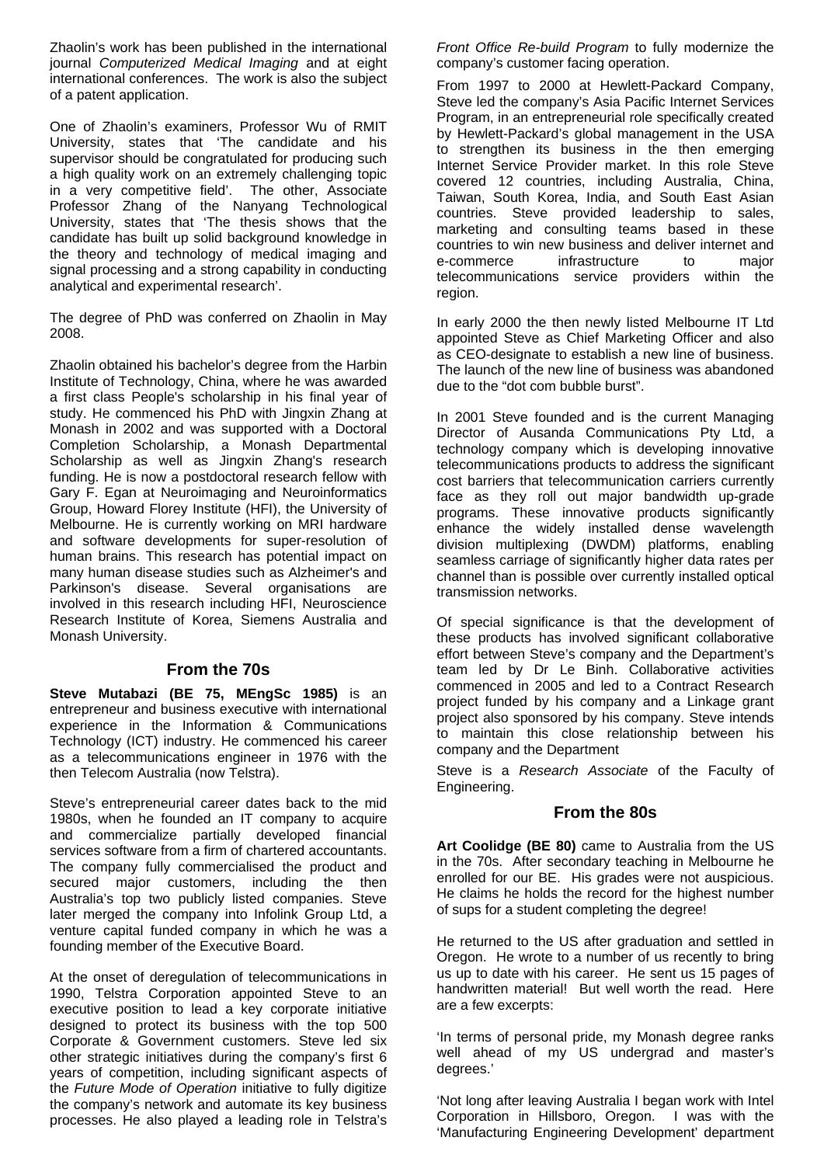Zhaolin's work has been published in the international journal *Computerized Medical Imaging* and at eight international conferences. The work is also the subject of a patent application.

One of Zhaolin's examiners, Professor Wu of RMIT University, states that 'The candidate and his supervisor should be congratulated for producing such a high quality work on an extremely challenging topic in a very competitive field'. The other, Associate Professor Zhang of the Nanyang Technological University, states that 'The thesis shows that the candidate has built up solid background knowledge in the theory and technology of medical imaging and signal processing and a strong capability in conducting analytical and experimental research'.

The degree of PhD was conferred on Zhaolin in May 2008.

Zhaolin obtained his bachelor's degree from the Harbin Institute of Technology, China, where he was awarded a first class People's scholarship in his final year of study. He commenced his PhD with Jingxin Zhang at Monash in 2002 and was supported with a Doctoral Completion Scholarship, a Monash Departmental Scholarship as well as Jingxin Zhang's research funding. He is now a postdoctoral research fellow with Gary F. Egan at Neuroimaging and Neuroinformatics Group, Howard Florey Institute (HFI), the University of Melbourne. He is currently working on MRI hardware and software developments for super-resolution of human brains. This research has potential impact on many human disease studies such as Alzheimer's and Parkinson's disease. Several organisations are involved in this research including HFI, Neuroscience Research Institute of Korea, Siemens Australia and Monash University.

#### **From the 70s**

**Steve Mutabazi (BE 75, MEngSc 1985)** is an entrepreneur and business executive with international experience in the Information & Communications Technology (ICT) industry. He commenced his career as a telecommunications engineer in 1976 with the then Telecom Australia (now Telstra).

Steve's entrepreneurial career dates back to the mid 1980s, when he founded an IT company to acquire and commercialize partially developed financial services software from a firm of chartered accountants. The company fully commercialised the product and secured major customers, including the then Australia's top two publicly listed companies. Steve later merged the company into Infolink Group Ltd, a venture capital funded company in which he was a founding member of the Executive Board.

At the onset of deregulation of telecommunications in 1990, Telstra Corporation appointed Steve to an executive position to lead a key corporate initiative designed to protect its business with the top 500 Corporate & Government customers. Steve led six other strategic initiatives during the company's first 6 years of competition, including significant aspects of the *Future Mode of Operation* initiative to fully digitize the company's network and automate its key business processes. He also played a leading role in Telstra's

*Front Office Re-build Program* to fully modernize the company's customer facing operation.

From 1997 to 2000 at Hewlett-Packard Company, Steve led the company's Asia Pacific Internet Services Program, in an entrepreneurial role specifically created by Hewlett-Packard's global management in the USA to strengthen its business in the then emerging Internet Service Provider market. In this role Steve covered 12 countries, including Australia, China, Taiwan, South Korea, India, and South East Asian countries. Steve provided leadership to sales, marketing and consulting teams based in these countries to win new business and deliver internet and e-commerce infrastructure to major telecommunications service providers within the region.

In early 2000 the then newly listed Melbourne IT Ltd appointed Steve as Chief Marketing Officer and also as CEO-designate to establish a new line of business. The launch of the new line of business was abandoned due to the "dot com bubble burst".

In 2001 Steve founded and is the current Managing Director of Ausanda Communications Pty Ltd, a technology company which is developing innovative telecommunications products to address the significant cost barriers that telecommunication carriers currently face as they roll out major bandwidth up-grade programs. These innovative products significantly enhance the widely installed dense wavelength division multiplexing (DWDM) platforms, enabling seamless carriage of significantly higher data rates per channel than is possible over currently installed optical transmission networks.

Of special significance is that the development of these products has involved significant collaborative effort between Steve's company and the Department's team led by Dr Le Binh. Collaborative activities commenced in 2005 and led to a Contract Research project funded by his company and a Linkage grant project also sponsored by his company. Steve intends to maintain this close relationship between his company and the Department

Steve is a *Research Associate* of the Faculty of Engineering.

#### **From the 80s**

**Art Coolidge (BE 80)** came to Australia from the US in the 70s. After secondary teaching in Melbourne he enrolled for our BE. His grades were not auspicious. He claims he holds the record for the highest number of sups for a student completing the degree!

He returned to the US after graduation and settled in Oregon. He wrote to a number of us recently to bring us up to date with his career. He sent us 15 pages of handwritten material! But well worth the read. Here are a few excerpts:

'In terms of personal pride, my Monash degree ranks well ahead of my US undergrad and master's degrees.'

'Not long after leaving Australia I began work with Intel Corporation in Hillsboro, Oregon. I was with the 'Manufacturing Engineering Development' department